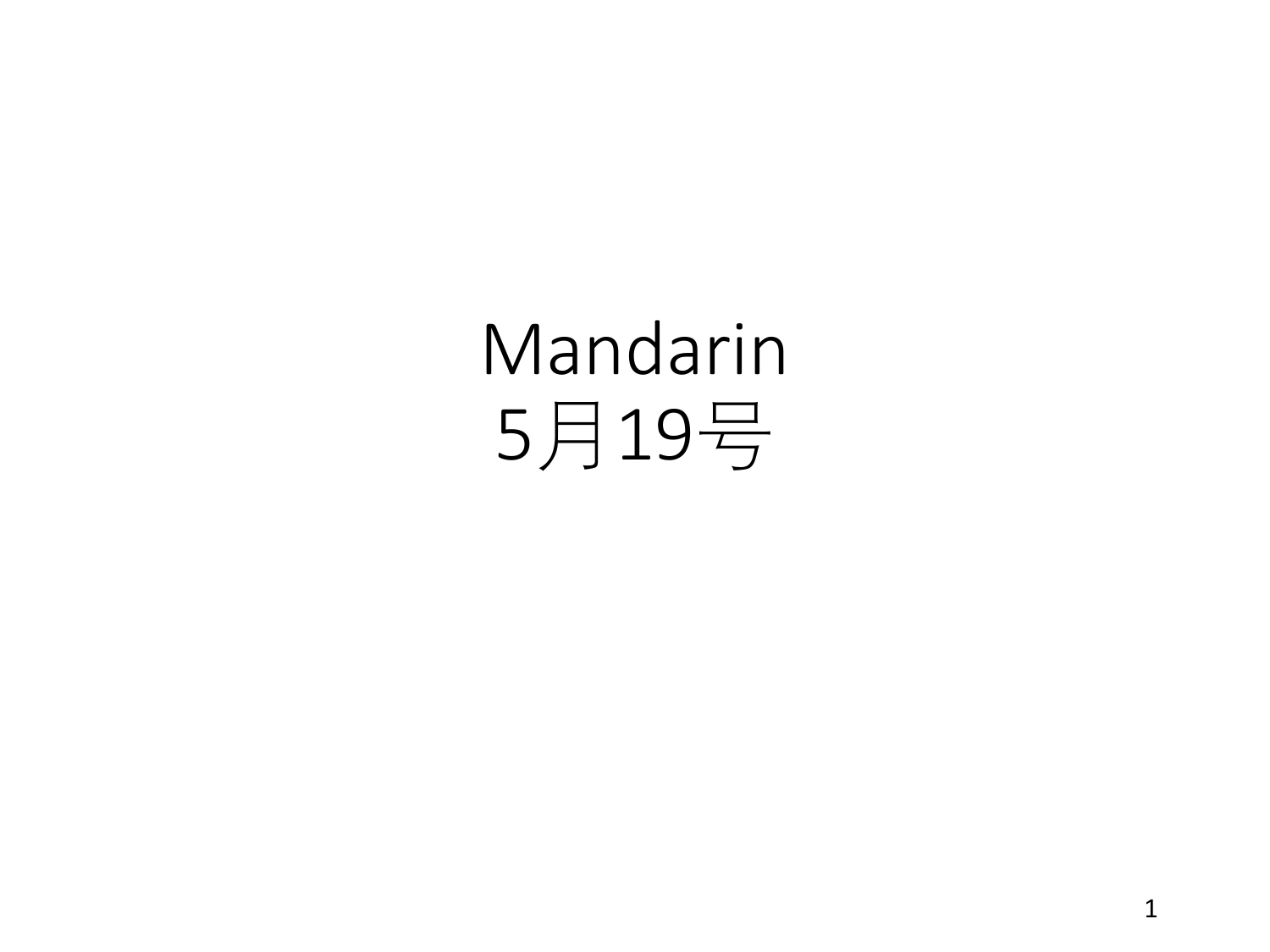## Mandarin 月19号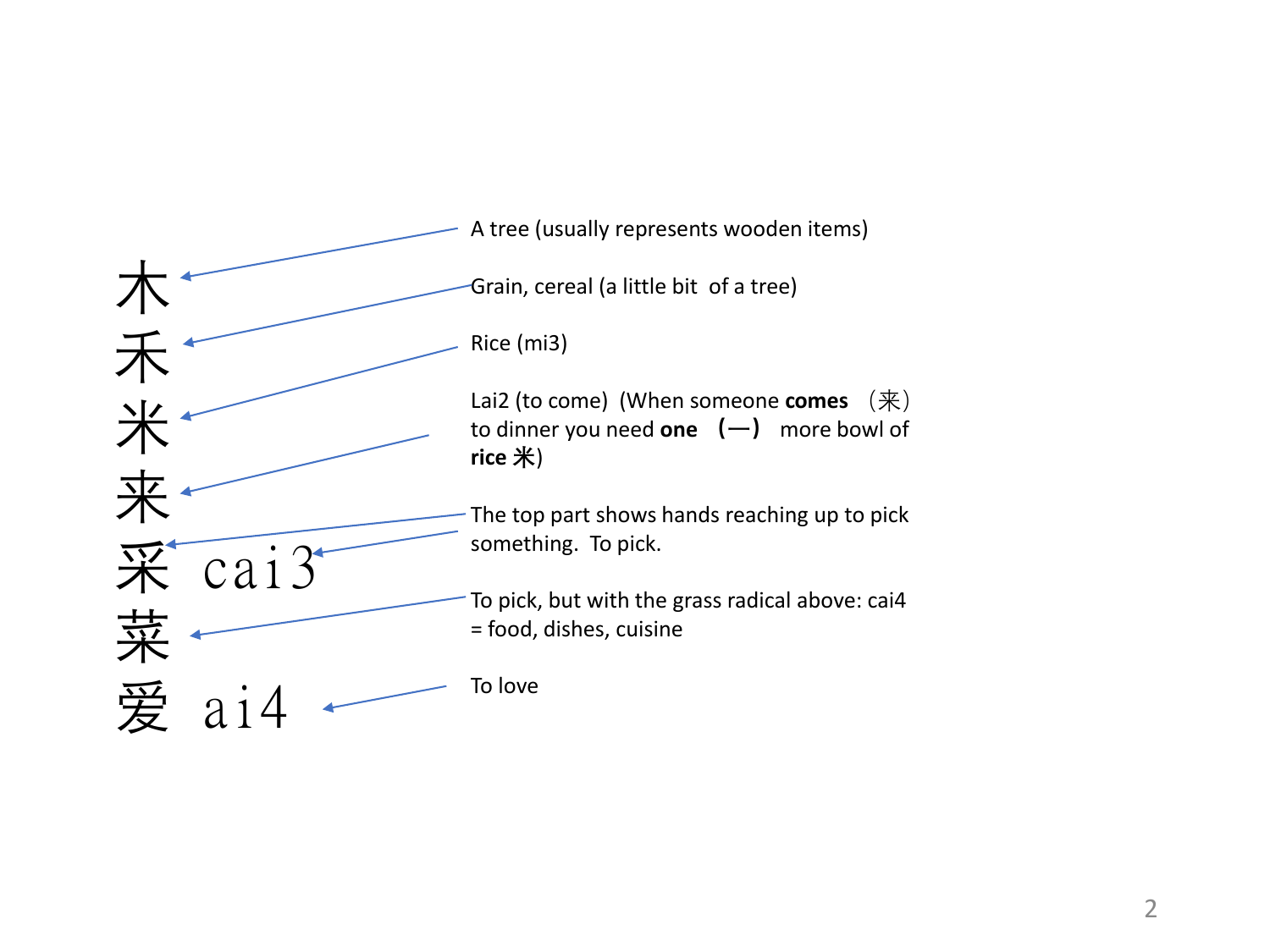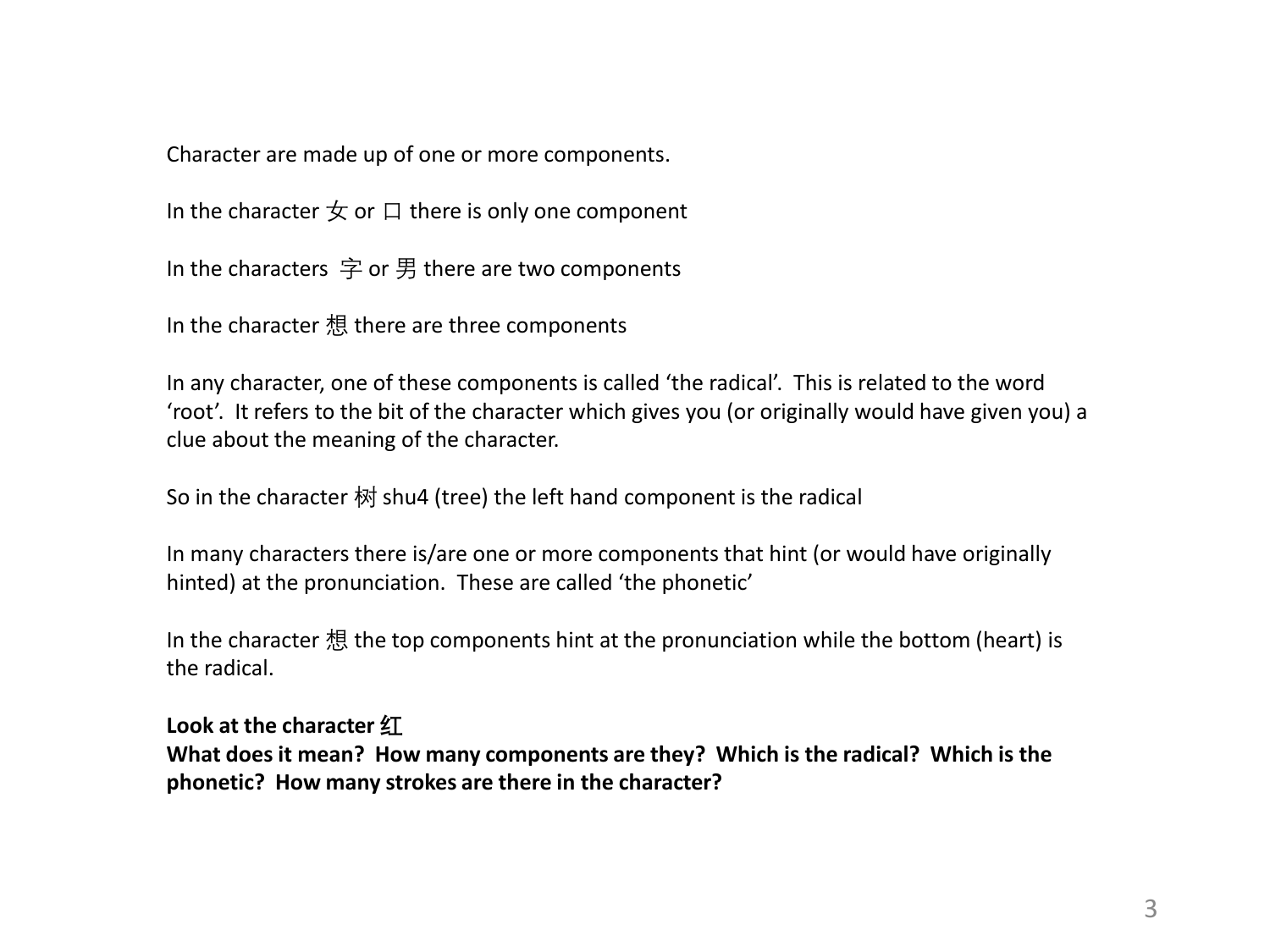Character are made up of one or more components.

In the character  $\pm$  or  $\Box$  there is only one component

In the characters 字 or 男 there are two components

In the character 想 there are three components

In any character, one of these components is called 'the radical'. This is related to the word 'root'. It refers to the bit of the character which gives you (or originally would have given you) a clue about the meaning of the character.

So in the character 树 shu4 (tree) the left hand component is the radical

In many characters there is/are one or more components that hint (or would have originally hinted) at the pronunciation. These are called 'the phonetic'

In the character 想 the top components hint at the pronunciation while the bottom (heart) is the radical.

**Look at the character 红**

**What does it mean? How many components are they? Which is the radical? Which is the phonetic? How many strokes are there in the character?**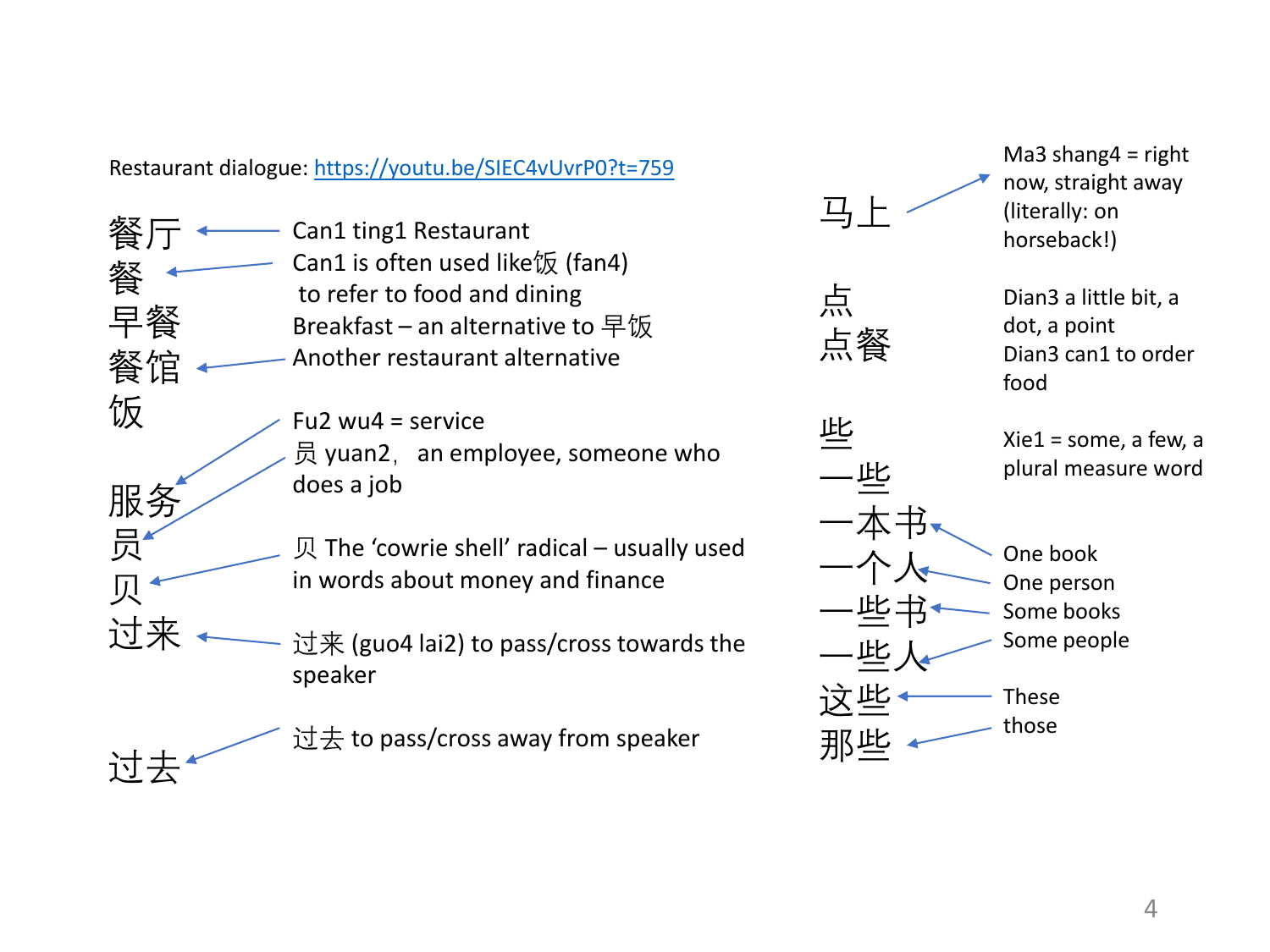Restaurant dialogue: <https://youtu.be/SIEC4vUvrP0?t=759>

餐厅 早餐 餐馆 Can1 ting1 Restaurant Can1 is often used like饭 (fan4) to refer to food and dining Breakfast – an alternative to 早饭 Another restaurant alternative

餐

饭

服务

员

贝

过来

过去

- Fu2  $wu4$  = service 员 yuan2,  $a$ n employee, someone who does a job
- 贝 The 'cowrie shell' radical usually used in words about money and finance
- 过来 (guo4 lai2) to pass/cross towards the speaker

过去 to pass/cross away from speaker

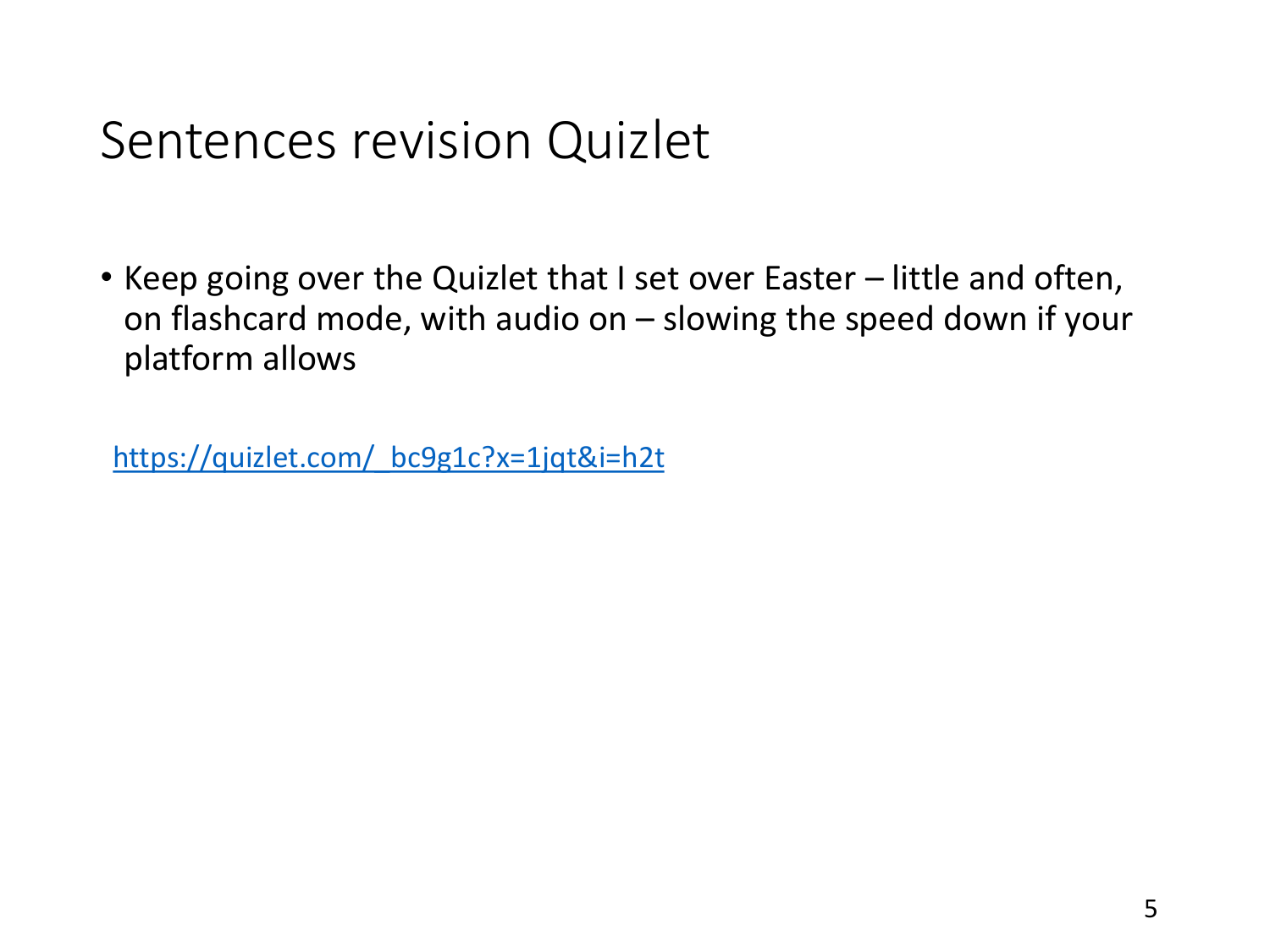## Sentences revision Quizlet

• Keep going over the Quizlet that I set over Easter – little and often, on flashcard mode, with audio on – slowing the speed down if your platform allows

[https://quizlet.com/\\_bc9g1c?x=1jqt&i=h2t](https://quizlet.com/_bc9g1c?x=1jqt&i=h2t)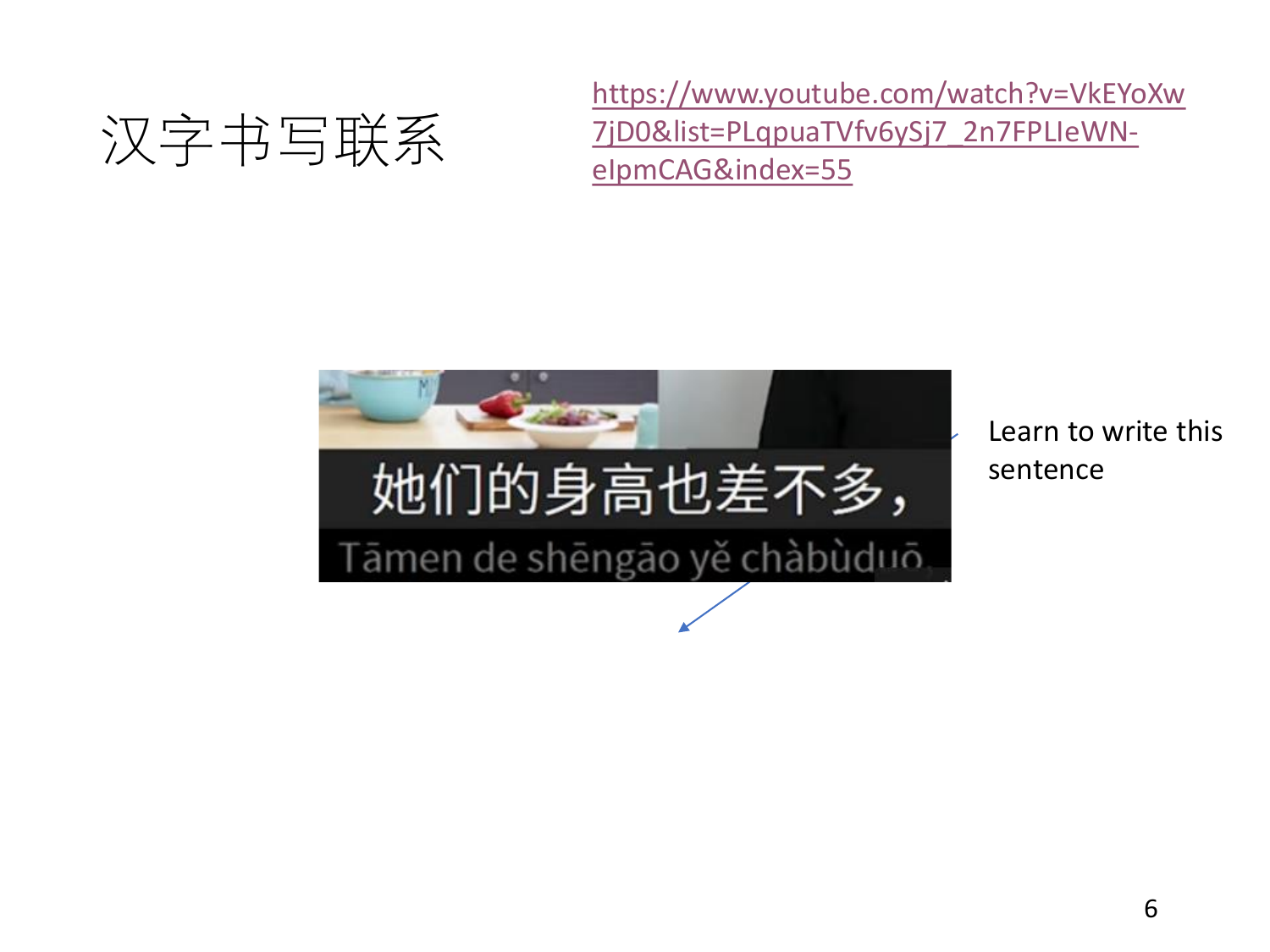

[https://www.youtube.com/watch?v=VkEYoXw](https://www.youtube.com/watch?v=VkEYoXw7jD0&list=PLqpuaTVfv6ySj7_2n7FPLIeWN-eIpmCAG&index=55) 7jD0&list=PLqpuaTVfv6ySj7\_2n7FPLIeWNeIpmCAG&index=55



Learn to write this sentence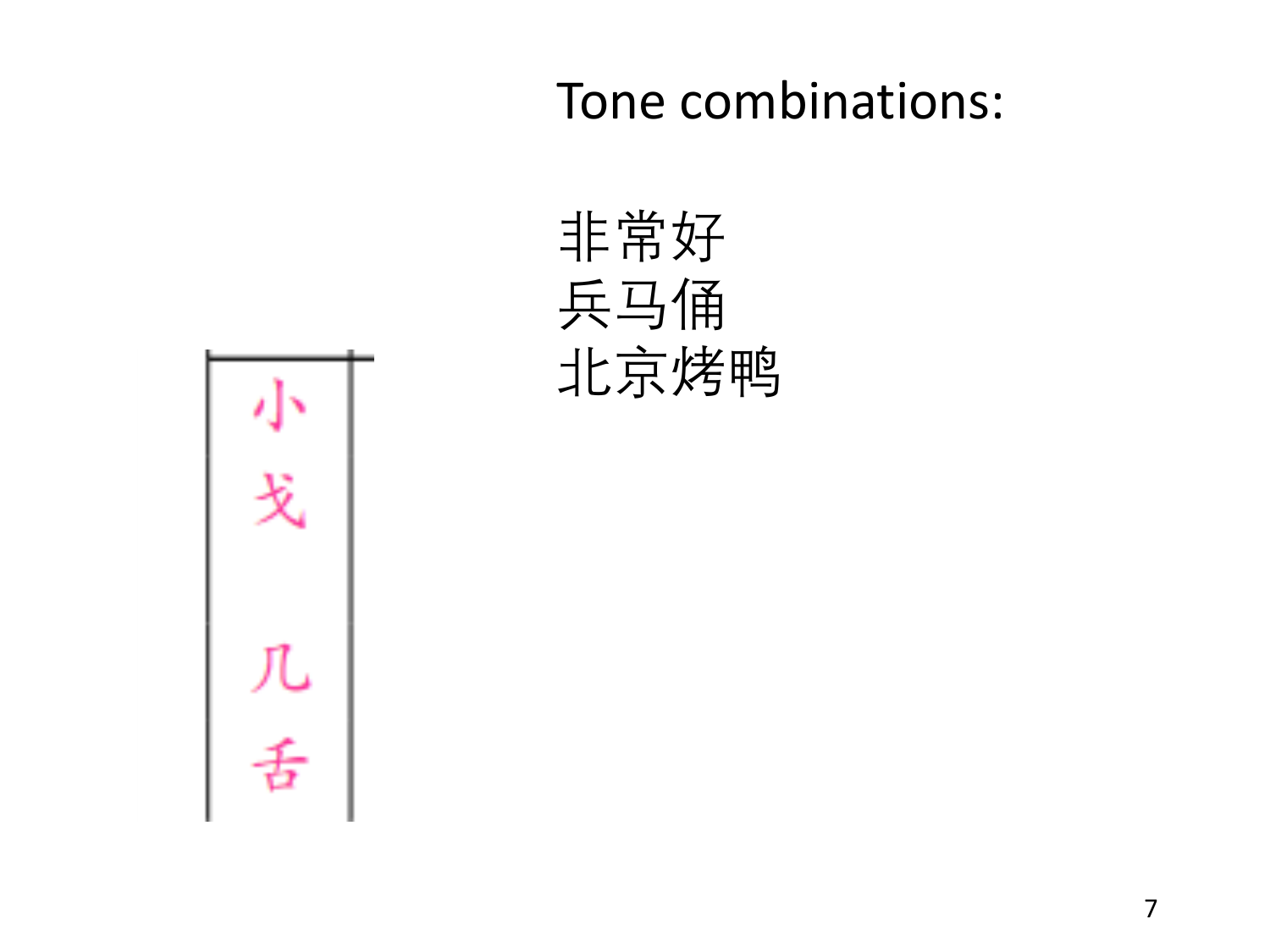Tone combinations: